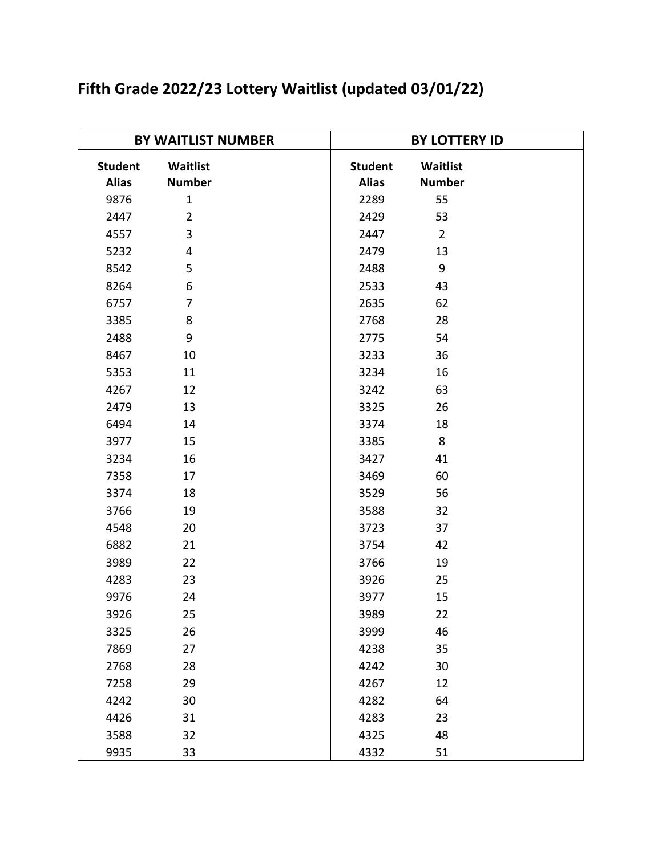| <b>BY WAITLIST NUMBER</b>      |                           | <b>BY LOTTERY ID</b>           |                           |  |
|--------------------------------|---------------------------|--------------------------------|---------------------------|--|
| <b>Student</b><br><b>Alias</b> | Waitlist<br><b>Number</b> | <b>Student</b><br><b>Alias</b> | Waitlist<br><b>Number</b> |  |
| 9876                           | $\mathbf{1}$              | 2289                           | 55                        |  |
| 2447                           | $\overline{2}$            | 2429                           | 53                        |  |
| 4557                           | 3                         | 2447                           | $\overline{2}$            |  |
| 5232                           | 4                         | 2479                           | 13                        |  |
| 8542                           | 5                         | 2488                           | 9                         |  |
| 8264                           | 6                         | 2533                           | 43                        |  |
| 6757                           | $\overline{7}$            | 2635                           | 62                        |  |
| 3385                           | 8                         | 2768                           | 28                        |  |
| 2488                           | 9                         | 2775                           | 54                        |  |
| 8467                           | 10                        | 3233                           | 36                        |  |
| 5353                           | 11                        | 3234                           | 16                        |  |
| 4267                           | 12                        | 3242                           | 63                        |  |
| 2479                           | 13                        | 3325                           | 26                        |  |
| 6494                           | 14                        | 3374                           | 18                        |  |
| 3977                           | 15                        | 3385                           | 8                         |  |
| 3234                           | 16                        | 3427                           | 41                        |  |
| 7358                           | 17                        | 3469                           | 60                        |  |
| 3374                           | 18                        | 3529                           | 56                        |  |
| 3766                           | 19                        | 3588                           | 32                        |  |
| 4548                           | 20                        | 3723                           | 37                        |  |
| 6882                           | 21                        | 3754                           | 42                        |  |
| 3989                           | 22                        | 3766                           | 19                        |  |
| 4283                           | 23                        | 3926                           | 25                        |  |
| 9976                           | 24                        | 3977                           | 15                        |  |
| 3926                           | 25                        | 3989                           | 22                        |  |
| 3325                           | 26                        | 3999                           | 46                        |  |
| 7869                           | 27                        | 4238                           | 35                        |  |
| 2768                           | 28                        | 4242                           | 30                        |  |
| 7258                           | 29                        | 4267                           | 12                        |  |
| 4242                           | 30                        | 4282                           | 64                        |  |
| 4426                           | 31                        | 4283                           | 23                        |  |
| 3588                           | 32                        | 4325                           | 48                        |  |
| 9935                           | 33                        | 4332                           | 51                        |  |

## **Fifth Grade 2022/23 Lottery Waitlist (updated 03/01/22)**